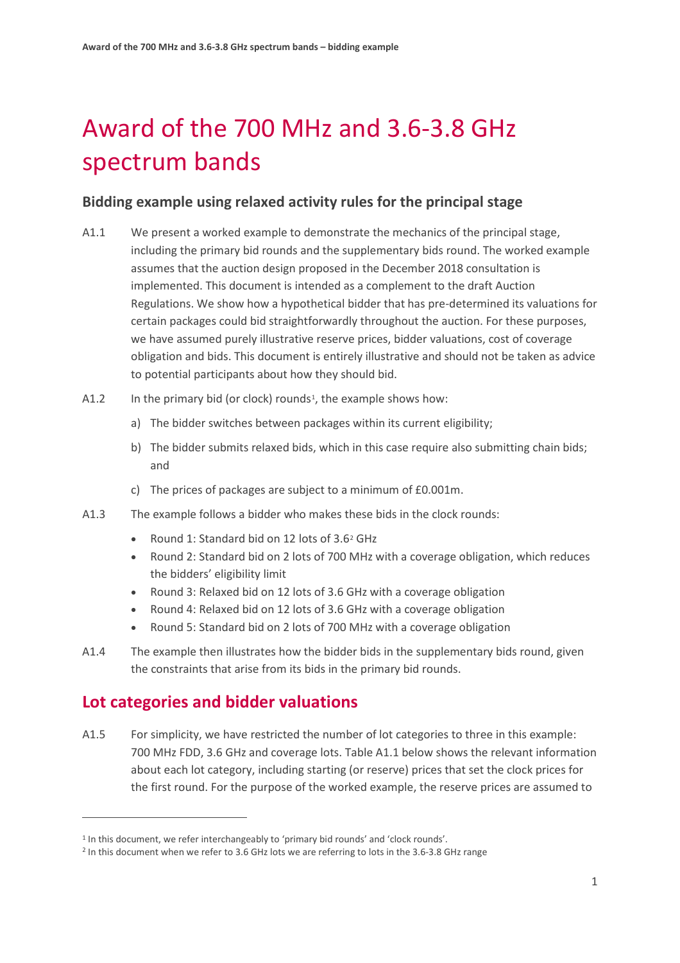# Award of the 700 MHz and 3.6-3.8 GHz spectrum bands

## **Bidding example using relaxed activity rules for the principal stage**

- A1.1 We present a worked example to demonstrate the mechanics of the principal stage, including the primary bid rounds and the supplementary bids round. The worked example assumes that the auction design proposed in the December 2018 consultation is implemented. This document is intended as a complement to the draft Auction Regulations. We show how a hypothetical bidder that has pre-determined its valuations for certain packages could bid straightforwardly throughout the auction. For these purposes, we have assumed purely illustrative reserve prices, bidder valuations, cost of coverage obligation and bids. This document is entirely illustrative and should not be taken as advice to potential participants about how they should bid.
- A1.2 In the primary bid (or clock) rounds<sup>1</sup>, the example shows how:
	- a) The bidder switches between packages within its current eligibility;
	- b) The bidder submits relaxed bids, which in this case require also submitting chain bids; and
	- c) The prices of packages are subject to a minimum of £0.001m.
- A1.3 The example follows a bidder who makes these bids in the clock rounds:
	- Round 1: Standard bid on 12 lots of 3.6[2](#page-0-1) GHz
	- Round 2: Standard bid on 2 lots of 700 MHz with a coverage obligation, which reduces the bidders' eligibility limit
	- Round 3: Relaxed bid on 12 lots of 3.6 GHz with a coverage obligation
	- Round 4: Relaxed bid on 12 lots of 3.6 GHz with a coverage obligation
	- Round 5: Standard bid on 2 lots of 700 MHz with a coverage obligation
- A1.4 The example then illustrates how the bidder bids in the supplementary bids round, given the constraints that arise from its bids in the primary bid rounds.

# **Lot categories and bidder valuations**

 $\overline{a}$ 

A1.5 For simplicity, we have restricted the number of lot categories to three in this example: 700 MHz FDD, 3.6 GHz and coverage lots. Table A1.1 below shows the relevant information about each lot category, including starting (or reserve) prices that set the clock prices for the first round. For the purpose of the worked example, the reserve prices are assumed to

<span id="page-0-0"></span><sup>&</sup>lt;sup>1</sup> In this document, we refer interchangeably to 'primary bid rounds' and 'clock rounds'.

<span id="page-0-1"></span><sup>&</sup>lt;sup>2</sup> In this document when we refer to 3.6 GHz lots we are referring to lots in the 3.6-3.8 GHz range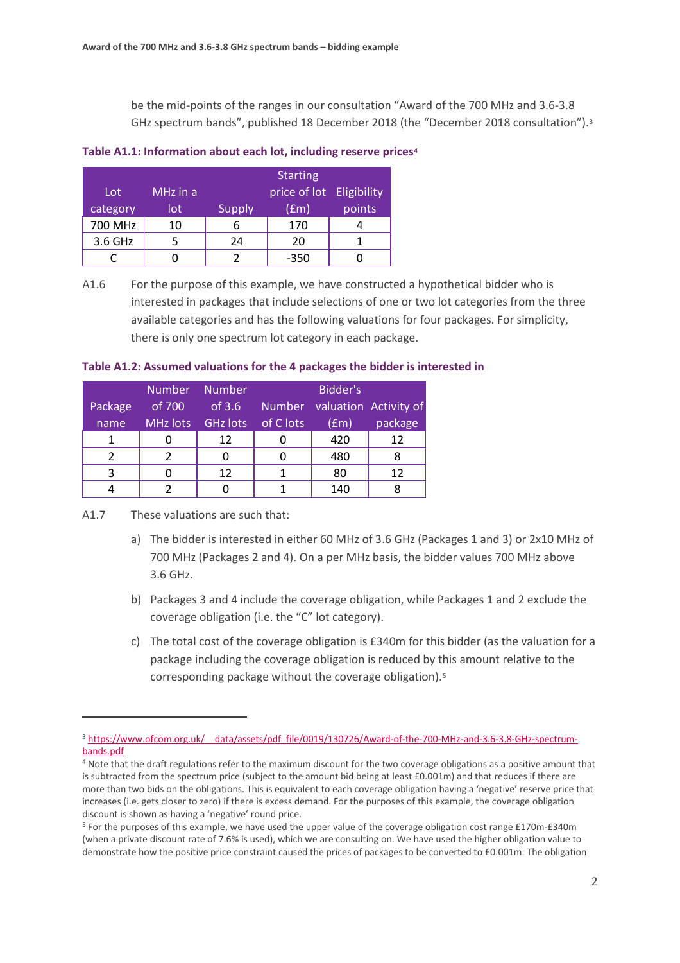be the mid-points of the ranges in our consultation "Award of the 700 MHz and 3.6-3.8 GHz spectrum bands", published 18 December 2018 (the "December 2018 consultation").[3](#page-1-0)

#### **Table A1.1: Information about each lot, including reserve prices[4](#page-1-1)**

|          |          |               | <b>Starting</b>          |        |
|----------|----------|---------------|--------------------------|--------|
| Lot      | MHz in a |               | price of lot Eligibility |        |
| category | lot      | <b>Supply</b> | (fcm)                    | points |
| 700 MHz  | 10       |               | 170                      |        |
| 3.6 GHz  |          | 24            | 20                       |        |
|          |          |               | -350                     |        |

A1.6 For the purpose of this example, we have constructed a hypothetical bidder who is interested in packages that include selections of one or two lot categories from the three available categories and has the following valuations for four packages. For simplicity, there is only one spectrum lot category in each package.

#### **Table A1.2: Assumed valuations for the 4 packages the bidder is interested in**

|         |           | Number Number |               | Bidder's |                       |
|---------|-----------|---------------|---------------|----------|-----------------------|
| Package | of $7001$ | of $3.6$      | <b>Number</b> |          | valuation Activity of |
| name    | MHz lots  | GHz lots      | of C lots     | (fm)     | package               |
| 1       |           | 12            |               | 420      | 12                    |
|         |           |               |               | 480      |                       |
| 3       |           | 12            |               | 80       | 12                    |
|         |           |               |               | 140      |                       |

A1.7 These valuations are such that:

 $\overline{a}$ 

- a) The bidder is interested in either 60 MHz of 3.6 GHz (Packages 1 and 3) or 2x10 MHz of 700 MHz (Packages 2 and 4). On a per MHz basis, the bidder values 700 MHz above 3.6 GHz.
- b) Packages 3 and 4 include the coverage obligation, while Packages 1 and 2 exclude the coverage obligation (i.e. the "C" lot category).
- c) The total cost of the coverage obligation is £340m for this bidder (as the valuation for a package including the coverage obligation is reduced by this amount relative to the corresponding package without the coverage obligation).<sup>[5](#page-1-2)</sup>

<span id="page-1-0"></span><sup>3</sup> https://www.ofcom.org.uk/ data/assets/pdf file/0019/130726/Award-of-the-700-MHz-and-3.6-3.8-GHz-spectrum[bands.pdf](https://www.ofcom.org.uk/__data/assets/pdf_file/0019/130726/Award-of-the-700-MHz-and-3.6-3.8-GHz-spectrum-bands.pdf)

<span id="page-1-1"></span><sup>&</sup>lt;sup>4</sup> Note that the draft regulations refer to the maximum discount for the two coverage obligations as a positive amount that is subtracted from the spectrum price (subject to the amount bid being at least £0.001m) and that reduces if there are more than two bids on the obligations. This is equivalent to each coverage obligation having a 'negative' reserve price that increases (i.e. gets closer to zero) if there is excess demand. For the purposes of this example, the coverage obligation discount is shown as having a 'negative' round price.

<span id="page-1-2"></span><sup>5</sup> For the purposes of this example, we have used the upper value of the coverage obligation cost range £170m-£340m (when a private discount rate of 7.6% is used), which we are consulting on. We have used the higher obligation value to demonstrate how the positive price constraint caused the prices of packages to be converted to £0.001m. The obligation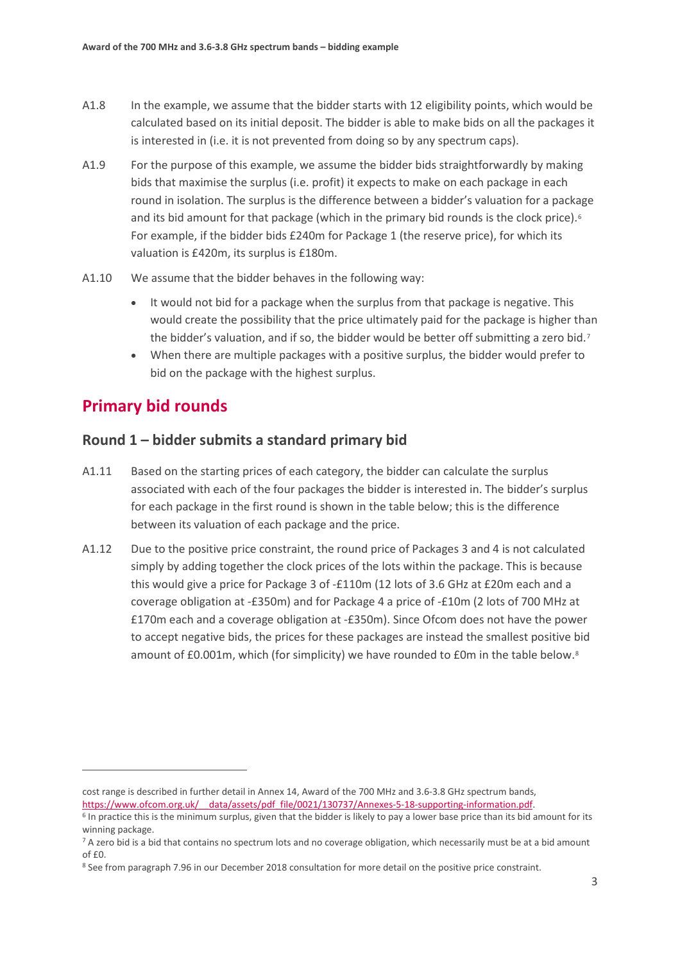- A1.8 In the example, we assume that the bidder starts with 12 eligibility points, which would be calculated based on its initial deposit. The bidder is able to make bids on all the packages it is interested in (i.e. it is not prevented from doing so by any spectrum caps).
- A1.9 For the purpose of this example, we assume the bidder bids straightforwardly by making bids that maximise the surplus (i.e. profit) it expects to make on each package in each round in isolation. The surplus is the difference between a bidder's valuation for a package and its bid amount for that package (which in the primary bid rounds is the clock price).<sup>[6](#page-2-0)</sup> For example, if the bidder bids £240m for Package 1 (the reserve price), for which its valuation is £420m, its surplus is £180m.
- A1.10 We assume that the bidder behaves in the following way:
	- It would not bid for a package when the surplus from that package is negative. This would create the possibility that the price ultimately paid for the package is higher than the bidder's valuation, and if so, the bidder would be better off submitting a zero bid.<sup>[7](#page-2-1)</sup>
	- When there are multiple packages with a positive surplus, the bidder would prefer to bid on the package with the highest surplus.

# **Primary bid rounds**

 $\overline{a}$ 

## **Round 1 – bidder submits a standard primary bid**

- A1.11 Based on the starting prices of each category, the bidder can calculate the surplus associated with each of the four packages the bidder is interested in. The bidder's surplus for each package in the first round is shown in the table below; this is the difference between its valuation of each package and the price.
- A1.12 Due to the positive price constraint, the round price of Packages 3 and 4 is not calculated simply by adding together the clock prices of the lots within the package. This is because this would give a price for Package 3 of -£110m (12 lots of 3.6 GHz at £20m each and a coverage obligation at -£350m) and for Package 4 a price of -£10m (2 lots of 700 MHz at £170m each and a coverage obligation at -£350m). Since Ofcom does not have the power to accept negative bids, the prices for these packages are instead the smallest positive bid amount of £0.001m, which (for simplicity) we have rounded to £0m in the table below.<sup>[8](#page-2-2)</sup>

cost range is described in further detail in Annex 14, Award of the 700 MHz and 3.6-3.8 GHz spectrum bands,

<span id="page-2-0"></span>https://www.ofcom.org.uk/ data/assets/pdf file/0021/130737/Annexes-5-18-supporting-information.pdf.<br><sup>6</sup> In practice this is the minimum surplus, given that the bidder is likely to pay a lower base price than its bid amount winning package.

<span id="page-2-1"></span><sup>&</sup>lt;sup>7</sup> A zero bid is a bid that contains no spectrum lots and no coverage obligation, which necessarily must be at a bid amount of £0.

<span id="page-2-2"></span><sup>8</sup> See from paragraph 7.96 in our December 2018 consultation for more detail on the positive price constraint.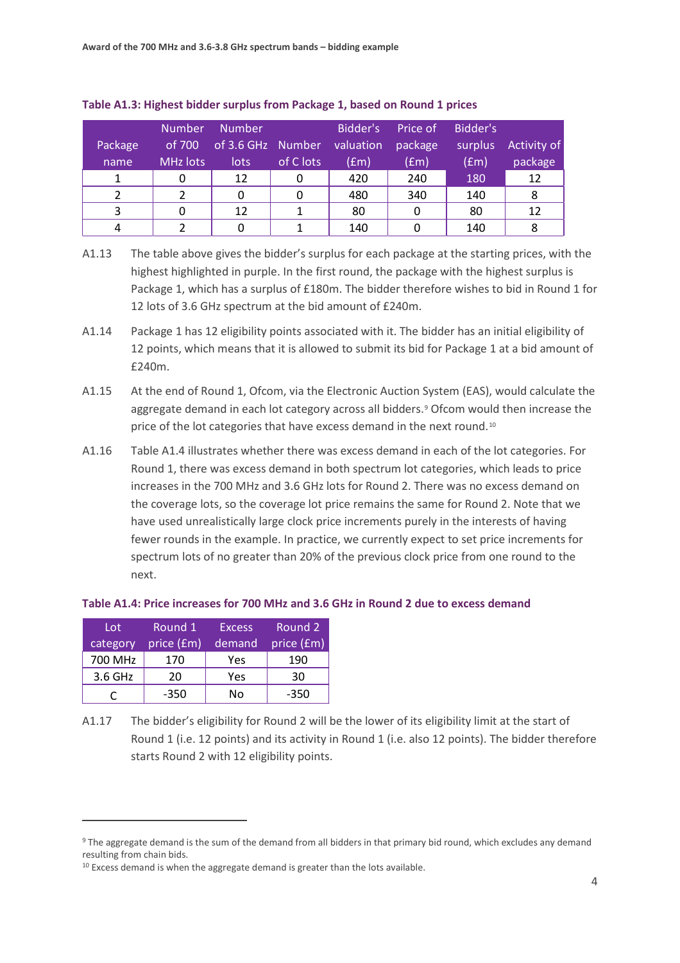| Package | <b>Number</b><br>of 700 | <b>Number</b><br>of 3.6 GHz Number |           | Bidder's<br>valuation | Price of<br>package | Bidder's<br>surplus | Activity of |
|---------|-------------------------|------------------------------------|-----------|-----------------------|---------------------|---------------------|-------------|
| name    | <b>MHz lots</b>         | lots                               | of C lots | (fm)                  | (fm)                | (f <sub>em</sub> )  | package     |
|         |                         | 12                                 |           | 420                   | 240                 | 180                 | 12          |
|         |                         | 0                                  |           | 480                   | 340                 | 140                 | 8           |
|         |                         | 12                                 |           | 80                    |                     | 80                  | 12          |
|         |                         |                                    |           | 140                   |                     | 140                 | 8           |

#### **Table A1.3: Highest bidder surplus from Package 1, based on Round 1 prices**

- A1.13 The table above gives the bidder's surplus for each package at the starting prices, with the highest highlighted in purple. In the first round, the package with the highest surplus is Package 1, which has a surplus of £180m. The bidder therefore wishes to bid in Round 1 for 12 lots of 3.6 GHz spectrum at the bid amount of £240m.
- A1.14 Package 1 has 12 eligibility points associated with it. The bidder has an initial eligibility of 12 points, which means that it is allowed to submit its bid for Package 1 at a bid amount of £240m.
- A1.15 At the end of Round 1, Ofcom, via the Electronic Auction System (EAS), would calculate the aggregate demand in each lot category across all bidders.[9](#page-3-0) Ofcom would then increase the price of the lot categories that have excess demand in the next round.[10](#page-3-1)
- A1.16 Table A1.4 illustrates whether there was excess demand in each of the lot categories. For Round 1, there was excess demand in both spectrum lot categories, which leads to price increases in the 700 MHz and 3.6 GHz lots for Round 2. There was no excess demand on the coverage lots, so the coverage lot price remains the same for Round 2. Note that we have used unrealistically large clock price increments purely in the interests of having fewer rounds in the example. In practice, we currently expect to set price increments for spectrum lots of no greater than 20% of the previous clock price from one round to the next.

#### **Table A1.4: Price increases for 700 MHz and 3.6 GHz in Round 2 due to excess demand**

| Lot      | Round 1    | <b>Excess</b> | Round 2    |
|----------|------------|---------------|------------|
| category | price (£m) | demand        | price (£m) |
| 700 MHz  | 170        | Yes           | 190        |
| 3.6 GHz  | 20         | Yes           | 30         |
|          | -350       | No            | -350       |

 $\overline{a}$ 

A1.17 The bidder's eligibility for Round 2 will be the lower of its eligibility limit at the start of Round 1 (i.e. 12 points) and its activity in Round 1 (i.e. also 12 points). The bidder therefore starts Round 2 with 12 eligibility points.

<span id="page-3-0"></span><sup>9</sup> The aggregate demand is the sum of the demand from all bidders in that primary bid round, which excludes any demand resulting from chain bids.

<span id="page-3-1"></span> $10$  Excess demand is when the aggregate demand is greater than the lots available.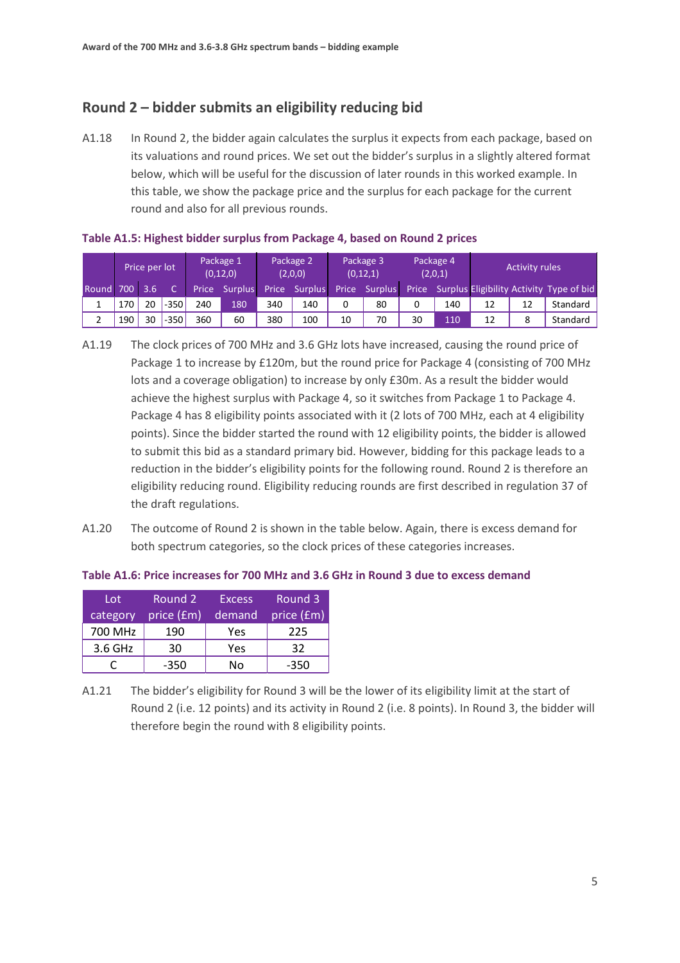## **Round 2 – bidder submits an eligibility reducing bid**

A1.18 In Round 2, the bidder again calculates the surplus it expects from each package, based on its valuations and round prices. We set out the bidder's surplus in a slightly altered format below, which will be useful for the discussion of later rounds in this worked example. In this table, we show the package price and the surplus for each package for the current round and also for all previous rounds.

|           |     | Price per lot    |        |     | Package 1<br>(0, 12, 0) |     | Package 2<br>(2,0,0) |    | Package 3<br>(0, 12, 1) |    | Package 4<br>(2,0,1) | <b>Activity rules</b> |    |                                                |
|-----------|-----|------------------|--------|-----|-------------------------|-----|----------------------|----|-------------------------|----|----------------------|-----------------------|----|------------------------------------------------|
| Round 700 |     | 3.6 <sub>1</sub> |        |     | Price Surplus           |     | Price Surplus        |    | Price Surplus           |    |                      |                       |    | Price Surplus Eligibility Activity Type of bid |
|           | 170 | 20               | $-350$ | 240 | 180                     | 340 | 140                  | 0  | 80                      | 0  | 140                  | 12                    | 12 | Standard                                       |
|           | 190 | 30               | $-350$ | 360 | 60                      | 380 | 100                  | 10 | 70                      | 30 | 110                  | 12                    | 8  | Standard                                       |

**Table A1.5: Highest bidder surplus from Package 4, based on Round 2 prices**

- A1.19 The clock prices of 700 MHz and 3.6 GHz lots have increased, causing the round price of Package 1 to increase by £120m, but the round price for Package 4 (consisting of 700 MHz lots and a coverage obligation) to increase by only £30m. As a result the bidder would achieve the highest surplus with Package 4, so it switches from Package 1 to Package 4. Package 4 has 8 eligibility points associated with it (2 lots of 700 MHz, each at 4 eligibility points). Since the bidder started the round with 12 eligibility points, the bidder is allowed to submit this bid as a standard primary bid. However, bidding for this package leads to a reduction in the bidder's eligibility points for the following round. Round 2 is therefore an eligibility reducing round. Eligibility reducing rounds are first described in regulation 37 of the draft regulations.
- A1.20 The outcome of Round 2 is shown in the table below. Again, there is excess demand for both spectrum categories, so the clock prices of these categories increases.

| Table A1.6: Price increases for 700 MHz and 3.6 GHz in Round 3 due to excess demand |  |  |  |
|-------------------------------------------------------------------------------------|--|--|--|
|-------------------------------------------------------------------------------------|--|--|--|

| Lot      | Round 2    | <b>Excess</b> | Round 3    |
|----------|------------|---------------|------------|
| category | price (£m) | demand        | price (£m) |
| 700 MHz  | 190        | Yes           | 225        |
| 3.6 GHz  | 30         | Yes           | 32         |
|          | -350       | No            | -350       |

A1.21 The bidder's eligibility for Round 3 will be the lower of its eligibility limit at the start of Round 2 (i.e. 12 points) and its activity in Round 2 (i.e. 8 points). In Round 3, the bidder will therefore begin the round with 8 eligibility points.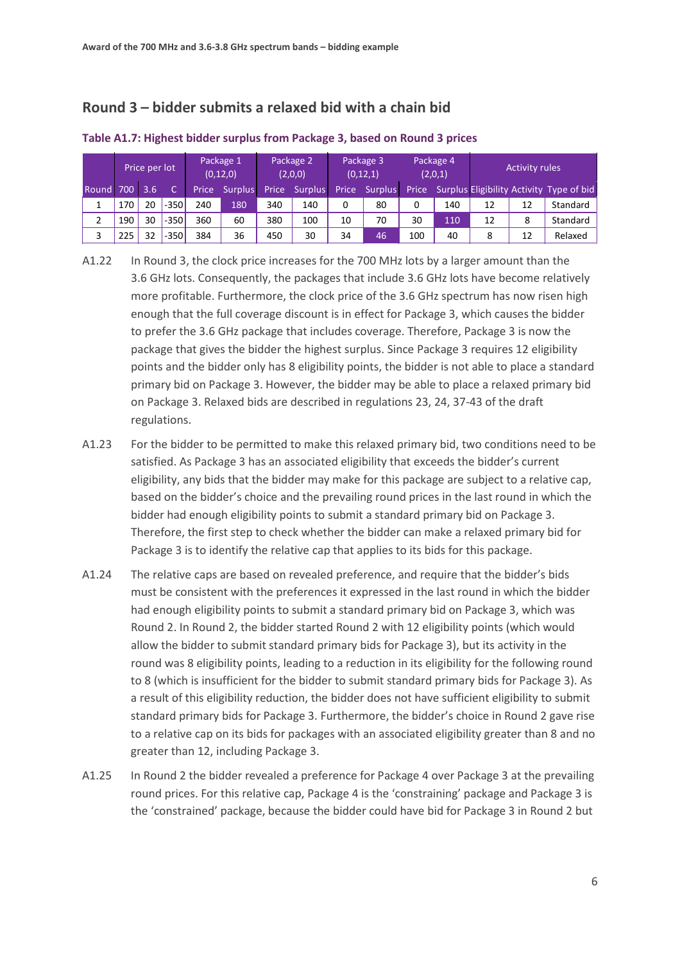## **Round 3 – bidder submits a relaxed bid with a chain bid**

|       |      | Price per lot |         |     | Package 1<br>(0, 12, 0) |       | Package 2<br>(2,0,0) |       | Package 3<br>(0, 12, 1) |     | Package 4<br>(2,0,1) | <b>Activity rules</b> |    |                                                |
|-------|------|---------------|---------|-----|-------------------------|-------|----------------------|-------|-------------------------|-----|----------------------|-----------------------|----|------------------------------------------------|
| Round | 700' | 3.6           |         |     | Price Surplus           | Price | <b>Surplus</b>       | Price | Surplus                 |     |                      |                       |    | Price Surplus Eligibility Activity Type of bid |
|       | 170  | 20            | $-350$  | 240 | 180                     | 340   | 140                  | 0     | 80                      | 0   | 140                  | 12                    | 12 | Standard                                       |
|       | 190  | 30            | $-350'$ | 360 | 60                      | 380   | 100                  | 10    | 70                      | 30  | 110                  | 12                    | 8  | Standard                                       |
|       | 225  | 32            | $-350'$ | 384 | 36                      | 450   | 30                   | 34    | 46                      | 100 | 40                   | 8                     | 12 | Relaxed                                        |

#### **Table A1.7: Highest bidder surplus from Package 3, based on Round 3 prices**

A1.22 In Round 3, the clock price increases for the 700 MHz lots by a larger amount than the 3.6 GHz lots. Consequently, the packages that include 3.6 GHz lots have become relatively more profitable. Furthermore, the clock price of the 3.6 GHz spectrum has now risen high enough that the full coverage discount is in effect for Package 3, which causes the bidder to prefer the 3.6 GHz package that includes coverage. Therefore, Package 3 is now the package that gives the bidder the highest surplus. Since Package 3 requires 12 eligibility points and the bidder only has 8 eligibility points, the bidder is not able to place a standard primary bid on Package 3. However, the bidder may be able to place a relaxed primary bid on Package 3. Relaxed bids are described in regulations 23, 24, 37-43 of the draft regulations.

- A1.23 For the bidder to be permitted to make this relaxed primary bid, two conditions need to be satisfied. As Package 3 has an associated eligibility that exceeds the bidder's current eligibility, any bids that the bidder may make for this package are subject to a relative cap, based on the bidder's choice and the prevailing round prices in the last round in which the bidder had enough eligibility points to submit a standard primary bid on Package 3. Therefore, the first step to check whether the bidder can make a relaxed primary bid for Package 3 is to identify the relative cap that applies to its bids for this package.
- A1.24 The relative caps are based on revealed preference, and require that the bidder's bids must be consistent with the preferences it expressed in the last round in which the bidder had enough eligibility points to submit a standard primary bid on Package 3, which was Round 2. In Round 2, the bidder started Round 2 with 12 eligibility points (which would allow the bidder to submit standard primary bids for Package 3), but its activity in the round was 8 eligibility points, leading to a reduction in its eligibility for the following round to 8 (which is insufficient for the bidder to submit standard primary bids for Package 3). As a result of this eligibility reduction, the bidder does not have sufficient eligibility to submit standard primary bids for Package 3. Furthermore, the bidder's choice in Round 2 gave rise to a relative cap on its bids for packages with an associated eligibility greater than 8 and no greater than 12, including Package 3.
- A1.25 In Round 2 the bidder revealed a preference for Package 4 over Package 3 at the prevailing round prices. For this relative cap, Package 4 is the 'constraining' package and Package 3 is the 'constrained' package, because the bidder could have bid for Package 3 in Round 2 but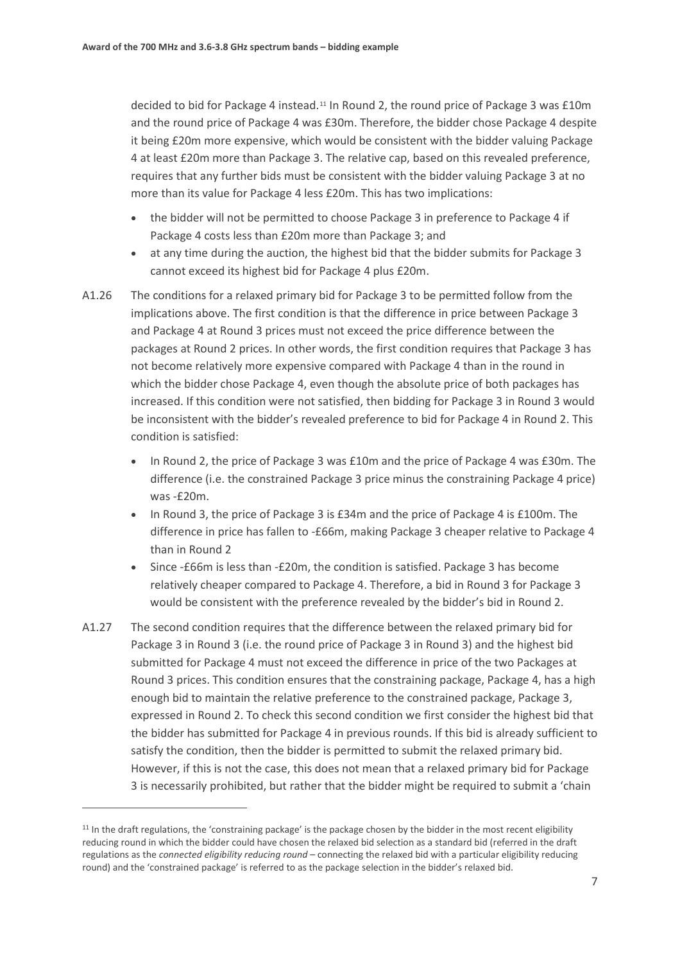decided to bid for Package 4 instead.[11](#page-6-0) In Round 2, the round price of Package 3 was £10m and the round price of Package 4 was £30m. Therefore, the bidder chose Package 4 despite it being £20m more expensive, which would be consistent with the bidder valuing Package 4 at least £20m more than Package 3. The relative cap, based on this revealed preference, requires that any further bids must be consistent with the bidder valuing Package 3 at no more than its value for Package 4 less £20m. This has two implications:

- the bidder will not be permitted to choose Package 3 in preference to Package 4 if Package 4 costs less than £20m more than Package 3; and
- at any time during the auction, the highest bid that the bidder submits for Package 3 cannot exceed its highest bid for Package 4 plus £20m.
- A1.26 The conditions for a relaxed primary bid for Package 3 to be permitted follow from the implications above. The first condition is that the difference in price between Package 3 and Package 4 at Round 3 prices must not exceed the price difference between the packages at Round 2 prices. In other words, the first condition requires that Package 3 has not become relatively more expensive compared with Package 4 than in the round in which the bidder chose Package 4, even though the absolute price of both packages has increased. If this condition were not satisfied, then bidding for Package 3 in Round 3 would be inconsistent with the bidder's revealed preference to bid for Package 4 in Round 2. This condition is satisfied:
	- In Round 2, the price of Package 3 was £10m and the price of Package 4 was £30m. The difference (i.e. the constrained Package 3 price minus the constraining Package 4 price) was -£20m.
	- In Round 3, the price of Package 3 is £34m and the price of Package 4 is £100m. The difference in price has fallen to -£66m, making Package 3 cheaper relative to Package 4 than in Round 2
	- Since -£66m is less than -£20m, the condition is satisfied. Package 3 has become relatively cheaper compared to Package 4. Therefore, a bid in Round 3 for Package 3 would be consistent with the preference revealed by the bidder's bid in Round 2.
- A1.27 The second condition requires that the difference between the relaxed primary bid for Package 3 in Round 3 (i.e. the round price of Package 3 in Round 3) and the highest bid submitted for Package 4 must not exceed the difference in price of the two Packages at Round 3 prices. This condition ensures that the constraining package, Package 4, has a high enough bid to maintain the relative preference to the constrained package, Package 3, expressed in Round 2. To check this second condition we first consider the highest bid that the bidder has submitted for Package 4 in previous rounds. If this bid is already sufficient to satisfy the condition, then the bidder is permitted to submit the relaxed primary bid. However, if this is not the case, this does not mean that a relaxed primary bid for Package 3 is necessarily prohibited, but rather that the bidder might be required to submit a 'chain

 $\overline{a}$ 

<span id="page-6-0"></span><sup>&</sup>lt;sup>11</sup> In the draft regulations, the 'constraining package' is the package chosen by the bidder in the most recent eligibility reducing round in which the bidder could have chosen the relaxed bid selection as a standard bid (referred in the draft regulations as the *connected eligibility reducing round* – connecting the relaxed bid with a particular eligibility reducing round) and the 'constrained package' is referred to as the package selection in the bidder's relaxed bid.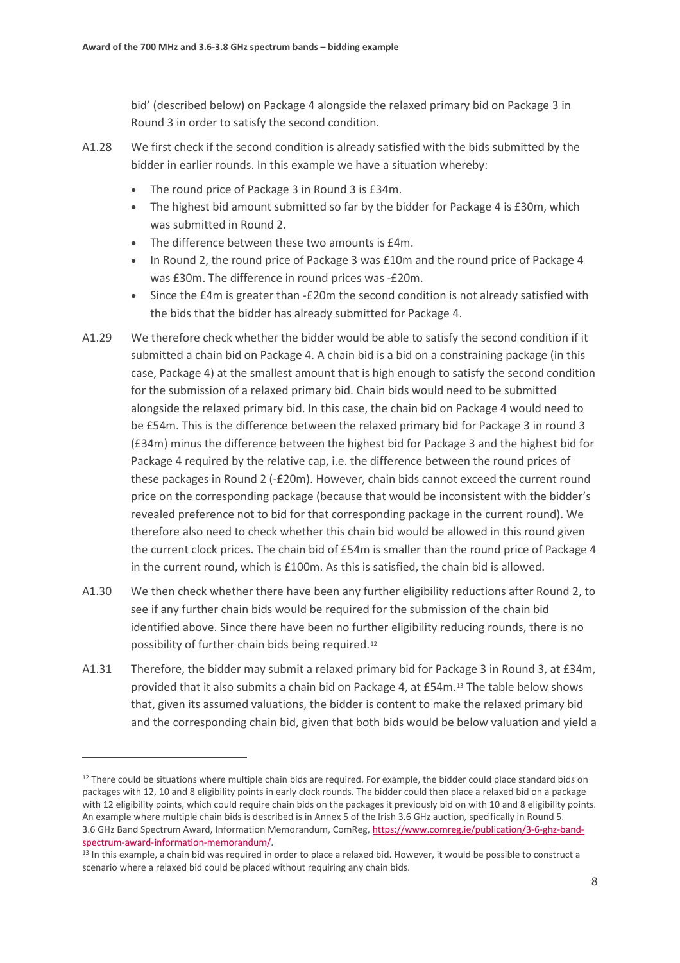bid' (described below) on Package 4 alongside the relaxed primary bid on Package 3 in Round 3 in order to satisfy the second condition.

- A1.28 We first check if the second condition is already satisfied with the bids submitted by the bidder in earlier rounds. In this example we have a situation whereby:
	- The round price of Package 3 in Round 3 is £34m.
	- The highest bid amount submitted so far by the bidder for Package 4 is £30m, which was submitted in Round 2.
	- The difference between these two amounts is £4m.
	- In Round 2, the round price of Package 3 was £10m and the round price of Package 4 was £30m. The difference in round prices was -£20m.
	- Since the £4m is greater than -£20m the second condition is not already satisfied with the bids that the bidder has already submitted for Package 4.
- A1.29 We therefore check whether the bidder would be able to satisfy the second condition if it submitted a chain bid on Package 4. A chain bid is a bid on a constraining package (in this case, Package 4) at the smallest amount that is high enough to satisfy the second condition for the submission of a relaxed primary bid. Chain bids would need to be submitted alongside the relaxed primary bid. In this case, the chain bid on Package 4 would need to be £54m. This is the difference between the relaxed primary bid for Package 3 in round 3 (£34m) minus the difference between the highest bid for Package 3 and the highest bid for Package 4 required by the relative cap, i.e. the difference between the round prices of these packages in Round 2 (-£20m). However, chain bids cannot exceed the current round price on the corresponding package (because that would be inconsistent with the bidder's revealed preference not to bid for that corresponding package in the current round). We therefore also need to check whether this chain bid would be allowed in this round given the current clock prices. The chain bid of £54m is smaller than the round price of Package 4 in the current round, which is £100m. As this is satisfied, the chain bid is allowed.
- A1.30 We then check whether there have been any further eligibility reductions after Round 2, to see if any further chain bids would be required for the submission of the chain bid identified above. Since there have been no further eligibility reducing rounds, there is no possibility of further chain bids being required.[12](#page-7-0)
- A1.31 Therefore, the bidder may submit a relaxed primary bid for Package 3 in Round 3, at £34m, provided that it also submits a chain bid on Package 4, at £54m.[13](#page-7-1) The table below shows that, given its assumed valuations, the bidder is content to make the relaxed primary bid and the corresponding chain bid, given that both bids would be below valuation and yield a

 $\overline{a}$ 

<span id="page-7-0"></span> $12$  There could be situations where multiple chain bids are required. For example, the bidder could place standard bids on packages with 12, 10 and 8 eligibility points in early clock rounds. The bidder could then place a relaxed bid on a package with 12 eligibility points, which could require chain bids on the packages it previously bid on with 10 and 8 eligibility points. An example where multiple chain bids is described is in Annex 5 of the Irish 3.6 GHz auction, specifically in Round 5. 3.6 GHz Band Spectrum Award, Information Memorandum, ComReg, [https://www.comreg.ie/publication/3-6-ghz-band-](https://www.comreg.ie/publication/3-6-ghz-band-spectrum-award-information-memorandum/)

<span id="page-7-1"></span>[spectrum-award-information-memorandum/.](https://www.comreg.ie/publication/3-6-ghz-band-spectrum-award-information-memorandum/)<br><sup>13</sup> In this example, a chain bid was required in order to place a relaxed bid. However, it would be possible to construct a scenario where a relaxed bid could be placed without requiring any chain bids.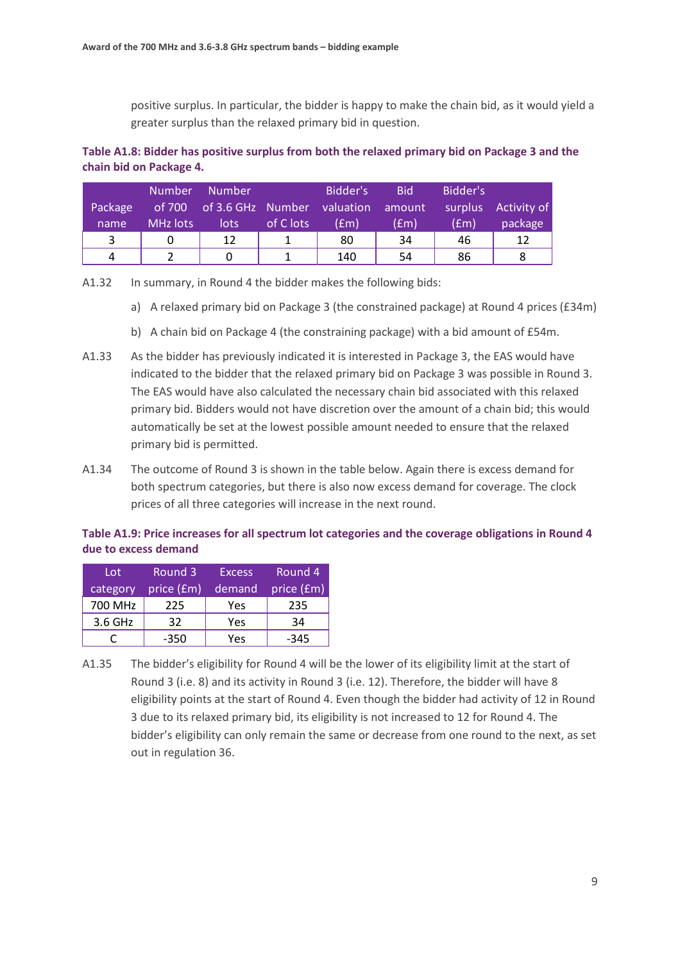positive surplus. In particular, the bidder is happy to make the chain bid, as it would yield a greater surplus than the relaxed primary bid in question.

## **Table A1.8: Bidder has positive surplus from both the relaxed primary bid on Package 3 and the chain bid on Package 4.**

|         | <b>Number</b> | <b>Number</b>                      |           | Bidder's | <b>Bid</b>          | Bidder's           |             |
|---------|---------------|------------------------------------|-----------|----------|---------------------|--------------------|-------------|
| Package |               | of 700 of 3.6 GHz Number valuation |           |          | amount <sup>1</sup> | surplus            | Activity of |
| name    | MHz lots      | lots                               | of C lots | (£m)     | (£m)                | (f <sub>rm</sub> ) | package     |
|         | 0             | 12                                 |           | 80       | 34                  | 46                 | 12          |
| 4       |               |                                    |           | 140      | 54                  | 86                 |             |

A1.32 In summary, in Round 4 the bidder makes the following bids:

- a) A relaxed primary bid on Package 3 (the constrained package) at Round 4 prices (£34m)
- b) A chain bid on Package 4 (the constraining package) with a bid amount of £54m.
- A1.33 As the bidder has previously indicated it is interested in Package 3, the EAS would have indicated to the bidder that the relaxed primary bid on Package 3 was possible in Round 3. The EAS would have also calculated the necessary chain bid associated with this relaxed primary bid. Bidders would not have discretion over the amount of a chain bid; this would automatically be set at the lowest possible amount needed to ensure that the relaxed primary bid is permitted.
- A1.34 The outcome of Round 3 is shown in the table below. Again there is excess demand for both spectrum categories, but there is also now excess demand for coverage. The clock prices of all three categories will increase in the next round.

## **Table A1.9: Price increases for all spectrum lot categories and the coverage obligations in Round 4 due to excess demand**

| Lot      | Round 3    | <b>Excess</b> | Round 4    |
|----------|------------|---------------|------------|
| category | price (£m) | demand        | price (£m) |
| 700 MHz  | 225        | Yes           | 235        |
| 3.6 GHz  | 32         | Yes           | 34         |
|          | -350       | Yes           | $-345$     |

A1.35 The bidder's eligibility for Round 4 will be the lower of its eligibility limit at the start of Round 3 (i.e. 8) and its activity in Round 3 (i.e. 12). Therefore, the bidder will have 8 eligibility points at the start of Round 4. Even though the bidder had activity of 12 in Round 3 due to its relaxed primary bid, its eligibility is not increased to 12 for Round 4. The bidder's eligibility can only remain the same or decrease from one round to the next, as set out in regulation 36.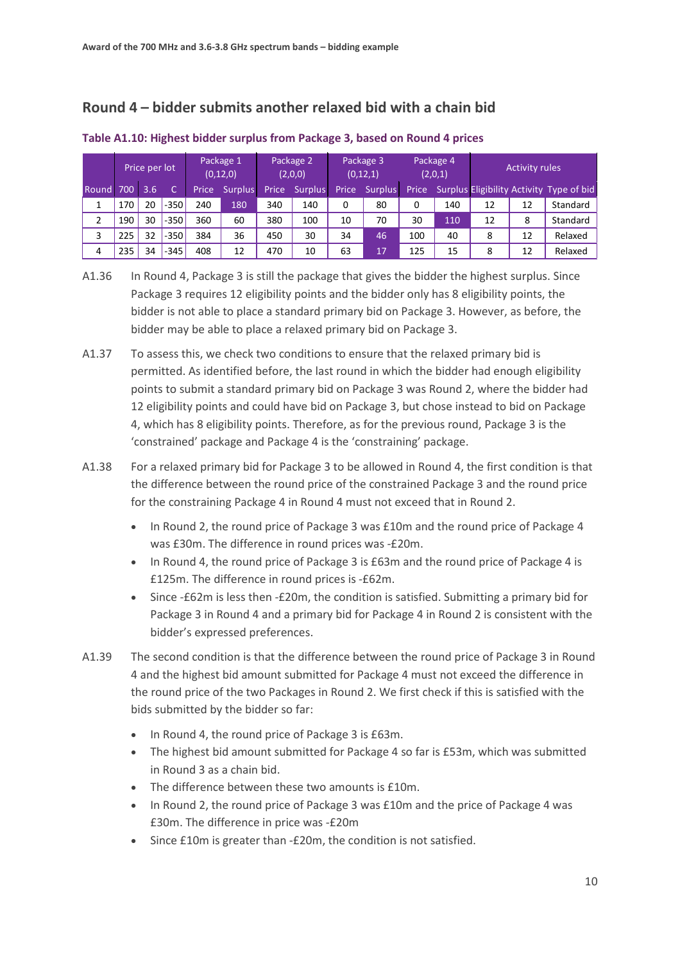# **Round 4 – bidder submits another relaxed bid with a chain bid**

|                      |     | Price per lot |        |       | Package 1<br>(0, 12, 0) |       | Package 2<br>(2,0,0) | Package 3<br>(0, 12, 1) |                | Package 4<br>(2,0,1) |     |    | <b>Activity rules</b> |                                          |
|----------------------|-----|---------------|--------|-------|-------------------------|-------|----------------------|-------------------------|----------------|----------------------|-----|----|-----------------------|------------------------------------------|
| Round <sub>700</sub> |     | 3.6           |        | Price | <b>Surplus</b>          | Price | <b>Surplus</b>       | Price                   | <b>Surplus</b> | Price <sup>'</sup>   |     |    |                       | Surplus Eligibility Activity Type of bid |
|                      | 170 | 20            | $-350$ | 240   | 180                     | 340   | 140                  | 0                       | 80             | 0                    | 140 | 12 | 12                    | Standard                                 |
|                      | 190 | 30            | $-350$ | 360   | 60                      | 380   | 100                  | 10                      | 70             | 30                   | 110 | 12 | 8                     | Standard                                 |
| 3                    | 225 | 32            | $-350$ | 384   | 36                      | 450   | 30                   | 34                      | 46             | 100                  | 40  | 8  | 12                    | Relaxed                                  |
| 4                    | 235 | 34            | $-345$ | 408   | 12                      | 470   | 10                   | 63                      | 17             | 125                  | 15  |    | 12                    | Relaxed                                  |

#### **Table A1.10: Highest bidder surplus from Package 3, based on Round 4 prices**

A1.36 In Round 4, Package 3 is still the package that gives the bidder the highest surplus. Since Package 3 requires 12 eligibility points and the bidder only has 8 eligibility points, the bidder is not able to place a standard primary bid on Package 3. However, as before, the bidder may be able to place a relaxed primary bid on Package 3.

- A1.37 To assess this, we check two conditions to ensure that the relaxed primary bid is permitted. As identified before, the last round in which the bidder had enough eligibility points to submit a standard primary bid on Package 3 was Round 2, where the bidder had 12 eligibility points and could have bid on Package 3, but chose instead to bid on Package 4, which has 8 eligibility points. Therefore, as for the previous round, Package 3 is the 'constrained' package and Package 4 is the 'constraining' package.
- A1.38 For a relaxed primary bid for Package 3 to be allowed in Round 4, the first condition is that the difference between the round price of the constrained Package 3 and the round price for the constraining Package 4 in Round 4 must not exceed that in Round 2.
	- In Round 2, the round price of Package 3 was £10m and the round price of Package 4 was £30m. The difference in round prices was -£20m.
	- In Round 4, the round price of Package 3 is £63m and the round price of Package 4 is £125m. The difference in round prices is -£62m.
	- Since -£62m is less then -£20m, the condition is satisfied. Submitting a primary bid for Package 3 in Round 4 and a primary bid for Package 4 in Round 2 is consistent with the bidder's expressed preferences.
- A1.39 The second condition is that the difference between the round price of Package 3 in Round 4 and the highest bid amount submitted for Package 4 must not exceed the difference in the round price of the two Packages in Round 2. We first check if this is satisfied with the bids submitted by the bidder so far:
	- In Round 4, the round price of Package 3 is £63m.
	- The highest bid amount submitted for Package 4 so far is £53m, which was submitted in Round 3 as a chain bid.
	- The difference between these two amounts is £10m.
	- In Round 2, the round price of Package 3 was £10m and the price of Package 4 was £30m. The difference in price was -£20m
	- Since £10m is greater than -£20m, the condition is not satisfied.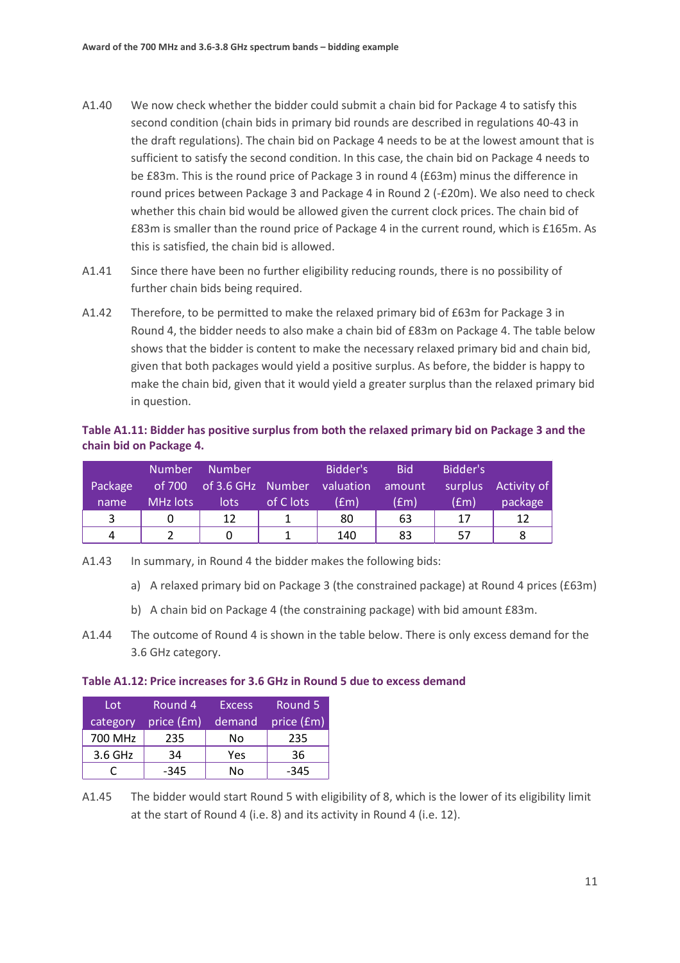- A1.40 We now check whether the bidder could submit a chain bid for Package 4 to satisfy this second condition (chain bids in primary bid rounds are described in regulations 40-43 in the draft regulations). The chain bid on Package 4 needs to be at the lowest amount that is sufficient to satisfy the second condition. In this case, the chain bid on Package 4 needs to be £83m. This is the round price of Package 3 in round 4 (£63m) minus the difference in round prices between Package 3 and Package 4 in Round 2 (-£20m). We also need to check whether this chain bid would be allowed given the current clock prices. The chain bid of £83m is smaller than the round price of Package 4 in the current round, which is £165m. As this is satisfied, the chain bid is allowed.
- A1.41 Since there have been no further eligibility reducing rounds, there is no possibility of further chain bids being required.
- A1.42 Therefore, to be permitted to make the relaxed primary bid of £63m for Package 3 in Round 4, the bidder needs to also make a chain bid of £83m on Package 4. The table below shows that the bidder is content to make the necessary relaxed primary bid and chain bid, given that both packages would yield a positive surplus. As before, the bidder is happy to make the chain bid, given that it would yield a greater surplus than the relaxed primary bid in question.

### **Table A1.11: Bidder has positive surplus from both the relaxed primary bid on Package 3 and the chain bid on Package 4.**

|         | <b>Number</b> | <b>Number</b>                             |           | Bidder's | <b>Bid</b>         | Bidder's           |             |
|---------|---------------|-------------------------------------------|-----------|----------|--------------------|--------------------|-------------|
| Package |               | of 700 of 3.6 GHz Number valuation amount |           |          |                    | surplus            | Activity of |
| name    | MHz lots      | lots:                                     | of C lots | (£m)     | (f <sub>em</sub> ) | (f <sub>rm</sub> ) | package     |
| 3       | 0             | 12                                        |           | 80       | 63                 | 17                 | 12          |
| 4       |               |                                           |           | 140      | 83                 | 57                 |             |

A1.43 In summary, in Round 4 the bidder makes the following bids:

- a) A relaxed primary bid on Package 3 (the constrained package) at Round 4 prices (£63m)
- b) A chain bid on Package 4 (the constraining package) with bid amount £83m.
- A1.44 The outcome of Round 4 is shown in the table below. There is only excess demand for the 3.6 GHz category.

#### **Table A1.12: Price increases for 3.6 GHz in Round 5 due to excess demand**

| Lot      | Round 4    | <b>Excess</b> | Round 5    |  |
|----------|------------|---------------|------------|--|
| category | price (£m) | demand        | price (£m) |  |
| 700 MHz  | 235        | No            | 235        |  |
| 3.6 GHz  | 34         | Yes           | 36         |  |
|          | $-345$     | N٥            | $-345$     |  |

A1.45 The bidder would start Round 5 with eligibility of 8, which is the lower of its eligibility limit at the start of Round 4 (i.e. 8) and its activity in Round 4 (i.e. 12).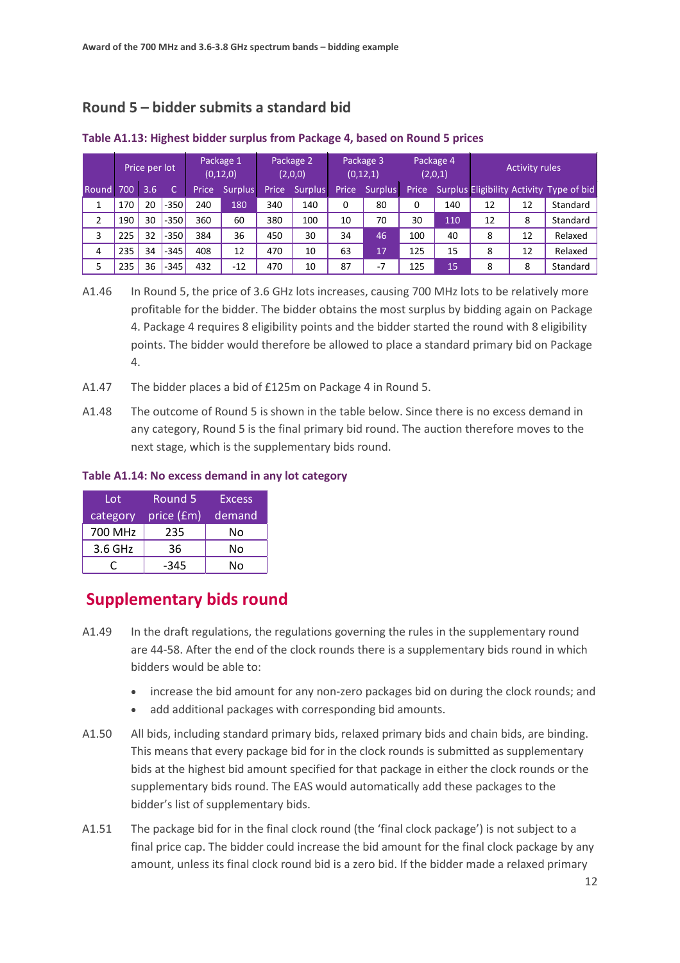# **Round 5 – bidder submits a standard bid**

|              | Price per lot |     |        | Package 1<br>(0, 12, 0) |         | Package 2<br>(2,0,0) |                | Package 3<br>(0, 12, 1) |                | Package 4<br>(2,0,1) |     | <b>Activity rules</b> |    |                                          |
|--------------|---------------|-----|--------|-------------------------|---------|----------------------|----------------|-------------------------|----------------|----------------------|-----|-----------------------|----|------------------------------------------|
| <b>Round</b> | 700           | 3.6 |        | Price                   | Surplus | Price                | <b>Surplus</b> | Price                   | <b>Surplus</b> | Price                |     |                       |    | Surplus Eligibility Activity Type of bid |
|              | 170           | 20  | $-350$ | 240                     | 180     | 340                  | 140            | 0                       | 80             | 0                    | 140 | 12                    | 12 | Standard                                 |
| 2            | 190           | 30  | $-350$ | 360                     | 60      | 380                  | 100            | 10                      | 70             | 30                   | 110 | 12                    | 8  | Standard                                 |
| 3            | 225           | 32  | $-350$ | 384                     | 36      | 450                  | 30             | 34                      | 46             | 100                  | 40  | 8                     | 12 | Relaxed                                  |
| 4            | 235           | 34  | $-345$ | 408                     | 12      | 470                  | 10             | 63                      | 17             | 125                  | 15  | 8                     | 12 | Relaxed                                  |
| 5            | 235           | 36  | $-345$ | 432                     | $-12$   | 470                  | 10             | 87                      | $-7$           | 125                  | 15  | 8                     | 8  | Standard                                 |

#### **Table A1.13: Highest bidder surplus from Package 4, based on Round 5 prices**

- A1.46 In Round 5, the price of 3.6 GHz lots increases, causing 700 MHz lots to be relatively more profitable for the bidder. The bidder obtains the most surplus by bidding again on Package 4. Package 4 requires 8 eligibility points and the bidder started the round with 8 eligibility points. The bidder would therefore be allowed to place a standard primary bid on Package 4.
- A1.47 The bidder places a bid of £125m on Package 4 in Round 5.
- A1.48 The outcome of Round 5 is shown in the table below. Since there is no excess demand in any category, Round 5 is the final primary bid round. The auction therefore moves to the next stage, which is the supplementary bids round.

### **Table A1.14: No excess demand in any lot category**

| Lot      | <b>Round 5</b> | <b>Excess</b> |  |  |
|----------|----------------|---------------|--|--|
| category | price (£m)     | demand        |  |  |
| 700 MHz  | 235            | No            |  |  |
| 3.6 GHz  | 36             | No            |  |  |
|          | $-345$         | N٥            |  |  |

# **Supplementary bids round**

- A1.49 In the draft regulations, the regulations governing the rules in the supplementary round are 44-58. After the end of the clock rounds there is a supplementary bids round in which bidders would be able to:
	- increase the bid amount for any non-zero packages bid on during the clock rounds; and
	- add additional packages with corresponding bid amounts.
- A1.50 All bids, including standard primary bids, relaxed primary bids and chain bids, are binding. This means that every package bid for in the clock rounds is submitted as supplementary bids at the highest bid amount specified for that package in either the clock rounds or the supplementary bids round. The EAS would automatically add these packages to the bidder's list of supplementary bids.
- A1.51 The package bid for in the final clock round (the 'final clock package') is not subject to a final price cap. The bidder could increase the bid amount for the final clock package by any amount, unless its final clock round bid is a zero bid. If the bidder made a relaxed primary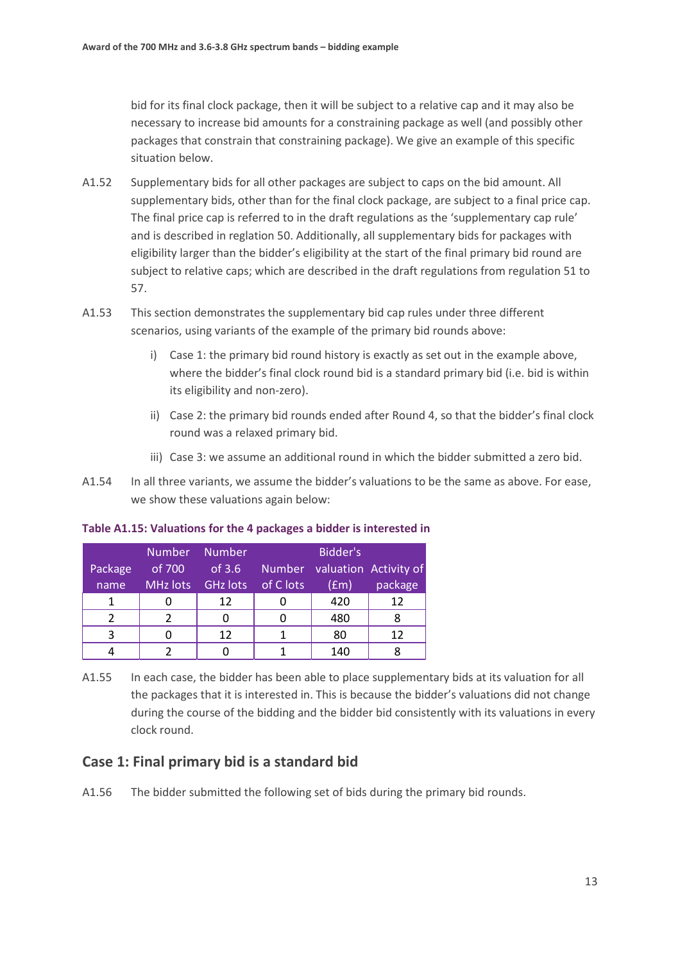bid for its final clock package, then it will be subject to a relative cap and it may also be necessary to increase bid amounts for a constraining package as well (and possibly other packages that constrain that constraining package). We give an example of this specific situation below.

- A1.52 Supplementary bids for all other packages are subject to caps on the bid amount. All supplementary bids, other than for the final clock package, are subject to a final price cap. The final price cap is referred to in the draft regulations as the 'supplementary cap rule' and is described in reglation 50. Additionally, all supplementary bids for packages with eligibility larger than the bidder's eligibility at the start of the final primary bid round are subject to relative caps; which are described in the draft regulations from regulation 51 to 57.
- A1.53 This section demonstrates the supplementary bid cap rules under three different scenarios, using variants of the example of the primary bid rounds above:
	- i) Case 1: the primary bid round history is exactly as set out in the example above, where the bidder's final clock round bid is a standard primary bid (i.e. bid is within its eligibility and non-zero).
	- ii) Case 2: the primary bid rounds ended after Round 4, so that the bidder's final clock round was a relaxed primary bid.
	- iii) Case 3: we assume an additional round in which the bidder submitted a zero bid.
- A1.54 In all three variants, we assume the bidder's valuations to be the same as above. For ease, we show these valuations again below:

| Package<br>name | <b>Number</b><br>of 700 | <b>Number</b><br>of $3.6$<br>MHz lots GHz lots | of C lots | Bidder's<br>(fm) | Number valuation Activity of<br>package |
|-----------------|-------------------------|------------------------------------------------|-----------|------------------|-----------------------------------------|
| 1               |                         | 12                                             |           | 420              | 12                                      |
| っ               |                         |                                                |           | 480              |                                         |
| 3               |                         | 12                                             |           | 80               | 12                                      |
|                 |                         |                                                |           | 140              |                                         |

**Table A1.15: Valuations for the 4 packages a bidder is interested in**

A1.55 In each case, the bidder has been able to place supplementary bids at its valuation for all the packages that it is interested in. This is because the bidder's valuations did not change during the course of the bidding and the bidder bid consistently with its valuations in every clock round.

## **Case 1: Final primary bid is a standard bid**

A1.56 The bidder submitted the following set of bids during the primary bid rounds.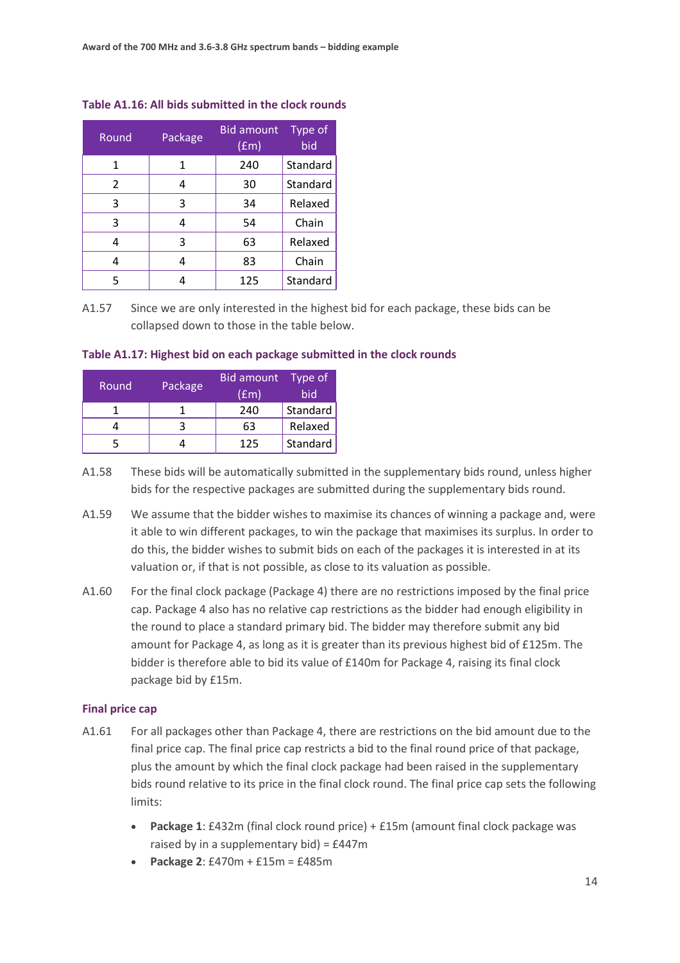| Round          | Package | <b>Bid amount</b><br>$(\text{fm})$ | Type of<br>bid |  |
|----------------|---------|------------------------------------|----------------|--|
| 1              | 1       | 240                                | Standard       |  |
| $\overline{2}$ | 4       | 30                                 | Standard       |  |
| 3              | 3       | 34                                 | Relaxed        |  |
| 3              | 4       | 54                                 | Chain          |  |
| 4              | 3       | 63                                 | Relaxed        |  |
| 4              | 4       | 83                                 | Chain          |  |
| 5              |         | 125                                | Standard       |  |

#### **Table A1.16: All bids submitted in the clock rounds**

A1.57 Since we are only interested in the highest bid for each package, these bids can be collapsed down to those in the table below.

| <b>Round</b> | Package | <b>Bid amount</b><br>(fm) | Type of<br>bid |
|--------------|---------|---------------------------|----------------|
|              |         | 240                       | Standard       |
|              |         | 63                        | Relaxed        |
|              |         | 125                       | Standard       |

#### **Table A1.17: Highest bid on each package submitted in the clock rounds**

- A1.58 These bids will be automatically submitted in the supplementary bids round, unless higher bids for the respective packages are submitted during the supplementary bids round.
- A1.59 We assume that the bidder wishes to maximise its chances of winning a package and, were it able to win different packages, to win the package that maximises its surplus. In order to do this, the bidder wishes to submit bids on each of the packages it is interested in at its valuation or, if that is not possible, as close to its valuation as possible.
- A1.60 For the final clock package (Package 4) there are no restrictions imposed by the final price cap. Package 4 also has no relative cap restrictions as the bidder had enough eligibility in the round to place a standard primary bid. The bidder may therefore submit any bid amount for Package 4, as long as it is greater than its previous highest bid of £125m. The bidder is therefore able to bid its value of £140m for Package 4, raising its final clock package bid by £15m.

#### **Final price cap**

- A1.61 For all packages other than Package 4, there are restrictions on the bid amount due to the final price cap. The final price cap restricts a bid to the final round price of that package, plus the amount by which the final clock package had been raised in the supplementary bids round relative to its price in the final clock round. The final price cap sets the following limits:
	- **Package 1**: £432m (final clock round price) + £15m (amount final clock package was raised by in a supplementary bid) = £447m
	- **Package 2**: £470m + £15m = £485m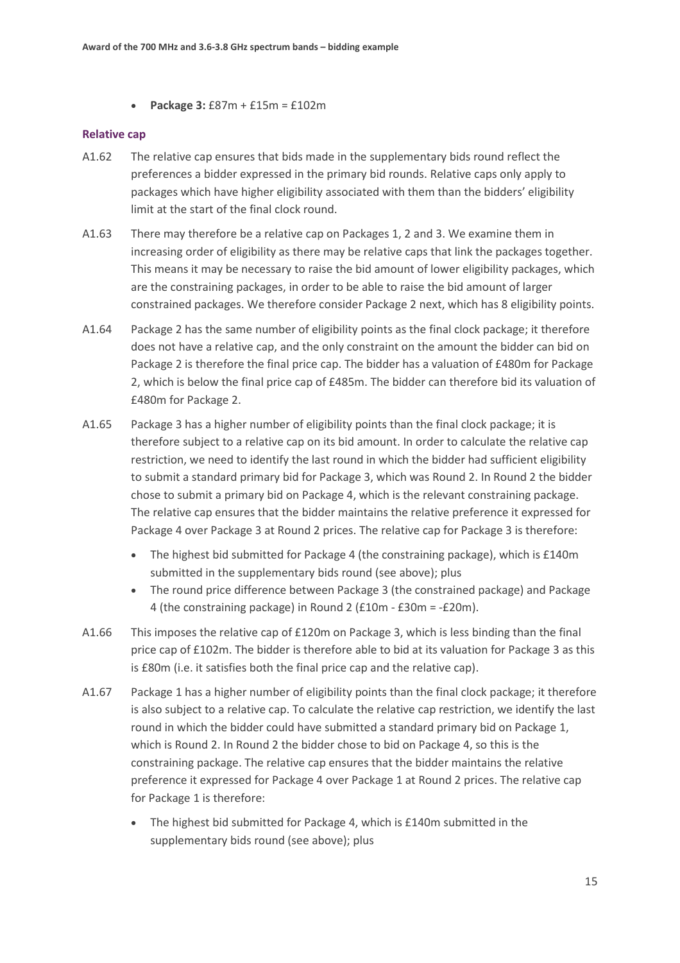• **Package 3:** £87m + £15m = £102m

#### **Relative cap**

- A1.62 The relative cap ensures that bids made in the supplementary bids round reflect the preferences a bidder expressed in the primary bid rounds. Relative caps only apply to packages which have higher eligibility associated with them than the bidders' eligibility limit at the start of the final clock round.
- A1.63 There may therefore be a relative cap on Packages 1, 2 and 3. We examine them in increasing order of eligibility as there may be relative caps that link the packages together. This means it may be necessary to raise the bid amount of lower eligibility packages, which are the constraining packages, in order to be able to raise the bid amount of larger constrained packages. We therefore consider Package 2 next, which has 8 eligibility points.
- A1.64 Package 2 has the same number of eligibility points as the final clock package; it therefore does not have a relative cap, and the only constraint on the amount the bidder can bid on Package 2 is therefore the final price cap. The bidder has a valuation of £480m for Package 2, which is below the final price cap of £485m. The bidder can therefore bid its valuation of £480m for Package 2.
- <span id="page-14-1"></span>A1.65 Package 3 has a higher number of eligibility points than the final clock package; it is therefore subject to a relative cap on its bid amount. In order to calculate the relative cap restriction, we need to identify the last round in which the bidder had sufficient eligibility to submit a standard primary bid for Package 3, which was Round 2. In Round 2 the bidder chose to submit a primary bid on Package 4, which is the relevant constraining package. The relative cap ensures that the bidder maintains the relative preference it expressed for Package 4 over Package 3 at Round 2 prices. The relative cap for Package 3 is therefore:
	- The highest bid submitted for Package 4 (the constraining package), which is £140m submitted in the supplementary bids round (see above); plus
	- The round price difference between Package 3 (the constrained package) and Package 4 (the constraining package) in Round 2 (£10m - £30m = -£20m).
- A1.66 This imposes the relative cap of £120m on Package 3, which is less binding than the final price cap of £102m. The bidder is therefore able to bid at its valuation for Package 3 as this is £80m (i.e. it satisfies both the final price cap and the relative cap).
- <span id="page-14-0"></span>A1.67 Package 1 has a higher number of eligibility points than the final clock package; it therefore is also subject to a relative cap. To calculate the relative cap restriction, we identify the last round in which the bidder could have submitted a standard primary bid on Package 1, which is Round 2. In Round 2 the bidder chose to bid on Package 4, so this is the constraining package. The relative cap ensures that the bidder maintains the relative preference it expressed for Package 4 over Package 1 at Round 2 prices. The relative cap for Package 1 is therefore:
	- The highest bid submitted for Package 4, which is £140m submitted in the supplementary bids round (see above); plus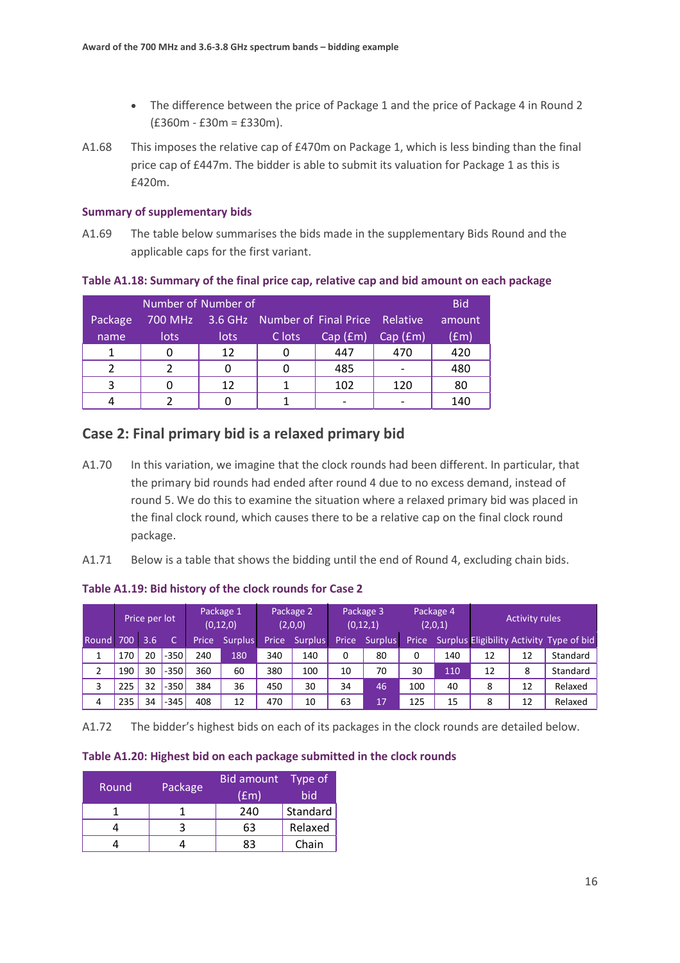- The difference between the price of Package 1 and the price of Package 4 in Round 2  $(E360m - E30m = E330m)$ .
- A1.68 This imposes the relative cap of £470m on Package 1, which is less binding than the final price cap of £447m. The bidder is able to submit its valuation for Package 1 as this is £420m.

#### **Summary of supplementary bids**

A1.69 The table below summarises the bids made in the supplementary Bids Round and the applicable caps for the first variant.

#### **Table A1.18: Summary of the final price cap, relative cap and bid amount on each package**

|         | Number of Number of |             |                                                |                      |         |               |  |  |  |  |  |
|---------|---------------------|-------------|------------------------------------------------|----------------------|---------|---------------|--|--|--|--|--|
| Package |                     |             | 700 MHz 3.6 GHz Number of Final Price Relative |                      |         | amount        |  |  |  |  |  |
| name    | lots                | <b>lots</b> | C lots                                         | $\overline{Cap(Fm)}$ | Cap(fm) | $(\text{fm})$ |  |  |  |  |  |
|         |                     | 12          |                                                | 447                  | 470     | 420           |  |  |  |  |  |
|         |                     |             |                                                | 485                  |         | 480           |  |  |  |  |  |
| ີ       |                     | 12          |                                                | 102                  | 120     | 80            |  |  |  |  |  |
|         |                     |             |                                                |                      |         | 140           |  |  |  |  |  |

## **Case 2: Final primary bid is a relaxed primary bid**

- A1.70 In this variation, we imagine that the clock rounds had been different. In particular, that the primary bid rounds had ended after round 4 due to no excess demand, instead of round 5. We do this to examine the situation where a relaxed primary bid was placed in the final clock round, which causes there to be a relative cap on the final clock round package.
- A1.71 Below is a table that shows the bidding until the end of Round 4, excluding chain bids.

|       | Price per lot |     |        | Package 1<br>Package 2<br>(0, 12, 0)<br>(2,0,0) |         |       | Package 3<br>(0, 12, 1) |                    | Package 4<br>(2,0,1) |       | <b>Activity rules</b> |    |    |                                          |
|-------|---------------|-----|--------|-------------------------------------------------|---------|-------|-------------------------|--------------------|----------------------|-------|-----------------------|----|----|------------------------------------------|
| Round | 700           | 3.6 |        | Price                                           | Surplus | Price | Surplus                 | Price <sup>'</sup> | <b>Surplus</b>       | Price |                       |    |    | Surplus Eligibility Activity Type of bid |
|       | 170           | 20  | $-350$ | 240                                             | 180     | 340   | 140                     | 0                  | 80                   | 0     | 140                   | 12 | 12 | Standard                                 |
| 2     | 190           | 30  | $-350$ | 360                                             | 60      | 380   | 100                     | 10                 | 70                   | 30    | 110                   | 12 | 8  | Standard                                 |
| 3     | 225           | 32  | $-350$ | 384                                             | 36      | 450   | 30                      | 34                 | 46                   | 100   | 40                    | 8  | 12 | Relaxed                                  |
| 4     | 235           | 34  | $-345$ | 408                                             | 12      | 470   | 10                      | 63                 | 17                   | 125   | 15                    | 8  | 12 | Relaxed                                  |

#### **Table A1.19: Bid history of the clock rounds for Case 2**

A1.72 The bidder's highest bids on each of its packages in the clock rounds are detailed below.

#### **Table A1.20: Highest bid on each package submitted in the clock rounds**

| Round, | Package | <b>Bid amount</b><br>(fm) | Type of<br>bid |
|--------|---------|---------------------------|----------------|
|        |         | 240                       | Standard       |
|        |         | 63                        | Relaxed        |
|        |         | 83                        | Chain          |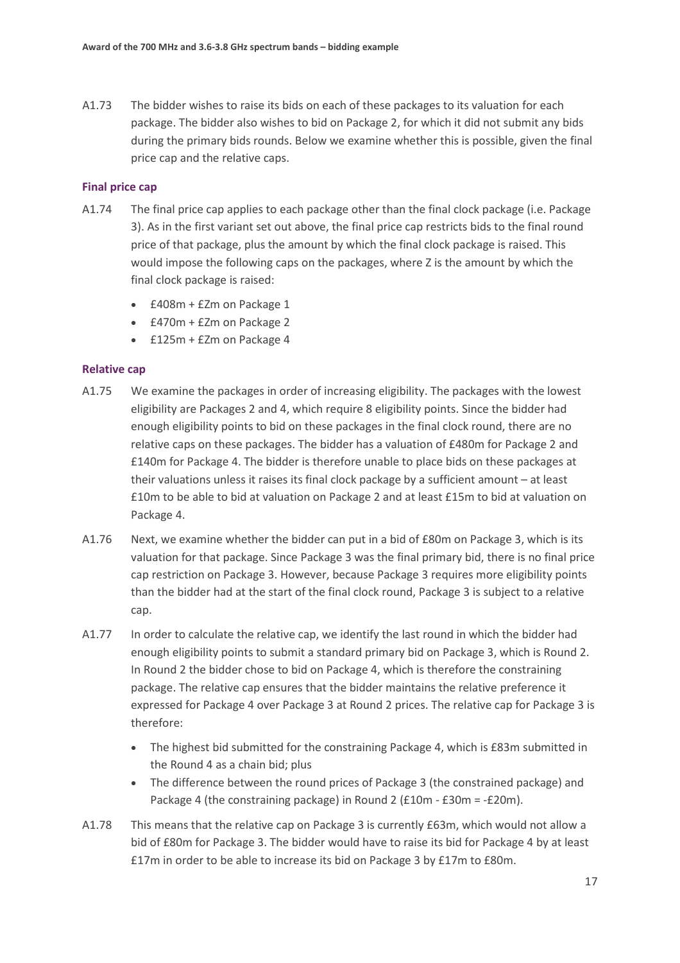A1.73 The bidder wishes to raise its bids on each of these packages to its valuation for each package. The bidder also wishes to bid on Package 2, for which it did not submit any bids during the primary bids rounds. Below we examine whether this is possible, given the final price cap and the relative caps.

#### **Final price cap**

- A1.74 The final price cap applies to each package other than the final clock package (i.e. Package 3). As in the first variant set out above, the final price cap restricts bids to the final round price of that package, plus the amount by which the final clock package is raised. This would impose the following caps on the packages, where Z is the amount by which the final clock package is raised:
	- £408m + £Zm on Package 1
	- £470m + £Zm on Package 2
	- £125m + £Zm on Package 4

#### **Relative cap**

- A1.75 We examine the packages in order of increasing eligibility. The packages with the lowest eligibility are Packages 2 and 4, which require 8 eligibility points. Since the bidder had enough eligibility points to bid on these packages in the final clock round, there are no relative caps on these packages. The bidder has a valuation of £480m for Package 2 and £140m for Package 4. The bidder is therefore unable to place bids on these packages at their valuations unless it raises its final clock package by a sufficient amount – at least £10m to be able to bid at valuation on Package 2 and at least £15m to bid at valuation on Package 4.
- A1.76 Next, we examine whether the bidder can put in a bid of £80m on Package 3, which is its valuation for that package. Since Package 3 was the final primary bid, there is no final price cap restriction on Package 3. However, because Package 3 requires more eligibility points than the bidder had at the start of the final clock round, Package 3 is subject to a relative cap.
- A1.77 In order to calculate the relative cap, we identify the last round in which the bidder had enough eligibility points to submit a standard primary bid on Package 3, which is Round 2. In Round 2 the bidder chose to bid on Package 4, which is therefore the constraining package. The relative cap ensures that the bidder maintains the relative preference it expressed for Package 4 over Package 3 at Round 2 prices. The relative cap for Package 3 is therefore:
	- The highest bid submitted for the constraining Package 4, which is £83m submitted in the Round 4 as a chain bid; plus
	- The difference between the round prices of Package 3 (the constrained package) and Package 4 (the constraining package) in Round 2 (£10m - £30m = -£20m).
- A1.78 This means that the relative cap on Package 3 is currently £63m, which would not allow a bid of £80m for Package 3. The bidder would have to raise its bid for Package 4 by at least £17m in order to be able to increase its bid on Package 3 by £17m to £80m.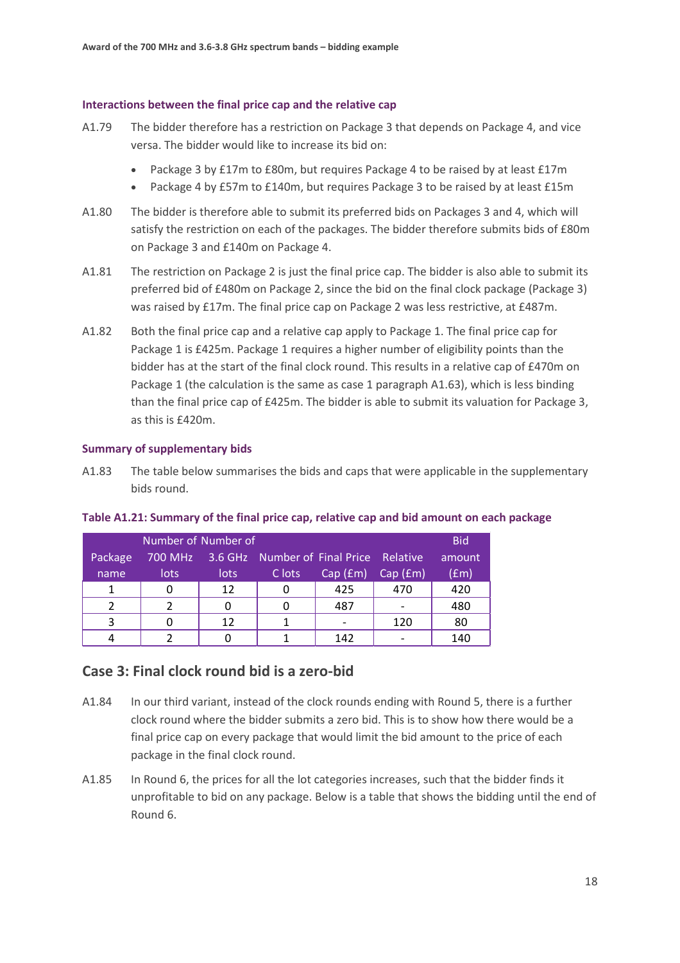#### **Interactions between the final price cap and the relative cap**

- A1.79 The bidder therefore has a restriction on Package 3 that depends on Package 4, and vice versa. The bidder would like to increase its bid on:
	- Package 3 by £17m to £80m, but requires Package 4 to be raised by at least £17m
	- Package 4 by £57m to £140m, but requires Package 3 to be raised by at least £15m
- A1.80 The bidder is therefore able to submit its preferred bids on Packages 3 and 4, which will satisfy the restriction on each of the packages. The bidder therefore submits bids of £80m on Package 3 and £140m on Package 4.
- A1.81 The restriction on Package 2 is just the final price cap. The bidder is also able to submit its preferred bid of £480m on Package 2, since the bid on the final clock package (Package 3) was raised by £17m. The final price cap on Package 2 was less restrictive, at £487m.
- A1.82 Both the final price cap and a relative cap apply to Package 1. The final price cap for Package 1 is £425m. Package 1 requires a higher number of eligibility points than the bidder has at the start of the final clock round. This results in a relative cap of £470m on Package 1 (the calculation is the same as case 1 paragraph [A1.63\)](#page-14-0), which is less binding than the final price cap of £425m. The bidder is able to submit its valuation for Package 3, as this is £420m.

#### **Summary of supplementary bids**

A1.83 The table below summarises the bids and caps that were applicable in the supplementary bids round.

| Number of Number of |      |             |                                                |            |         |        |  |  |  |  |
|---------------------|------|-------------|------------------------------------------------|------------|---------|--------|--|--|--|--|
| Package             |      |             | 700 MHz 3.6 GHz Number of Final Price Relative |            |         | amount |  |  |  |  |
| name                | lots | <b>lots</b> | C lots                                         | (Cap (fm)) | Cap(fm) | (fem)  |  |  |  |  |
|                     |      | 12          |                                                | 425        | 470     | 420    |  |  |  |  |
|                     |      |             |                                                | 487        |         | 480    |  |  |  |  |
| ર                   |      | 12          |                                                |            | 120     | 80     |  |  |  |  |
|                     |      |             |                                                | 142        |         | 140    |  |  |  |  |

#### **Table A1.21: Summary of the final price cap, relative cap and bid amount on each package**

## **Case 3: Final clock round bid is a zero-bid**

- A1.84 In our third variant, instead of the clock rounds ending with Round 5, there is a further clock round where the bidder submits a zero bid. This is to show how there would be a final price cap on every package that would limit the bid amount to the price of each package in the final clock round.
- A1.85 In Round 6, the prices for all the lot categories increases, such that the bidder finds it unprofitable to bid on any package. Below is a table that shows the bidding until the end of Round 6.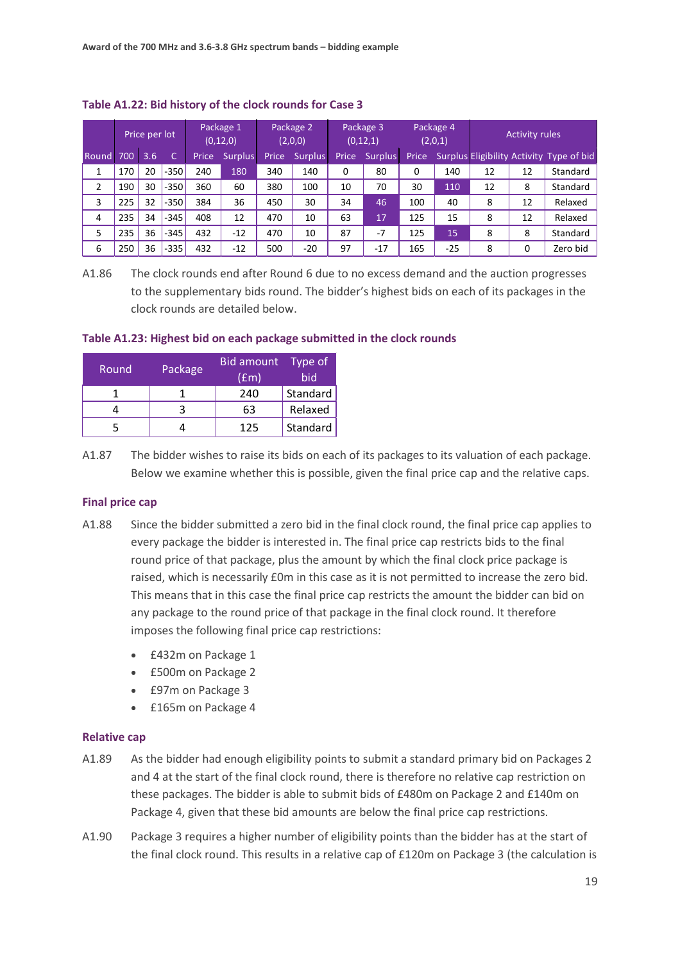|       | Price per lot |     |        | Package 1<br>(0, 12, 0) |         | Package 2<br>(2,0,0) |                | Package 3<br>(0, 12, 1) |                | Package 4<br>(2,0,1) |       | <b>Activity rules</b> |    |                                          |
|-------|---------------|-----|--------|-------------------------|---------|----------------------|----------------|-------------------------|----------------|----------------------|-------|-----------------------|----|------------------------------------------|
| Round | 700           | 3.6 | C      | Price                   | Surplus | Price                | <b>Surplus</b> | Price                   | <b>Surplus</b> | Price                |       |                       |    | Surplus Eligibility Activity Type of bid |
| 1     | 170           | 20  | $-350$ | 240                     | 180     | 340                  | 140            | 0                       | 80             | 0                    | 140   | 12                    | 12 | Standard                                 |
| 2     | 190           | 30  | $-350$ | 360                     | 60      | 380                  | 100            | 10                      | 70             | 30                   | 110   | 12                    | 8  | Standard                                 |
| 3     | 225           | 32  | $-350$ | 384                     | 36      | 450                  | 30             | 34                      | 46             | 100                  | 40    | 8                     | 12 | Relaxed                                  |
| 4     | 235           | 34  | $-345$ | 408                     | 12      | 470                  | 10             | 63                      | 17             | 125                  | 15    | 8                     | 12 | Relaxed                                  |
| 5     | 235           | 36  | $-345$ | 432                     | $-12$   | 470                  | 10             | 87                      | $-7$           | 125                  | 15    | 8                     | 8  | Standard                                 |
| 6     | 250           | 36  | $-335$ | 432                     | $-12$   | 500                  | $-20$          | 97                      | $-17$          | 165                  | $-25$ | 8                     | 0  | Zero bid                                 |

#### **Table A1.22: Bid history of the clock rounds for Case 3**

A1.86 The clock rounds end after Round 6 due to no excess demand and the auction progresses to the supplementary bids round. The bidder's highest bids on each of its packages in the clock rounds are detailed below.

**Table A1.23: Highest bid on each package submitted in the clock rounds**

| 'Round | Package | <b>Bid amount</b><br>(fm) | Type of<br>bid |
|--------|---------|---------------------------|----------------|
|        |         | 240                       | Standard       |
|        |         | 63                        | Relaxed        |
|        |         | 125                       | Standard       |

A1.87 The bidder wishes to raise its bids on each of its packages to its valuation of each package. Below we examine whether this is possible, given the final price cap and the relative caps.

#### **Final price cap**

- A1.88 Since the bidder submitted a zero bid in the final clock round, the final price cap applies to every package the bidder is interested in. The final price cap restricts bids to the final round price of that package, plus the amount by which the final clock price package is raised, which is necessarily £0m in this case as it is not permitted to increase the zero bid. This means that in this case the final price cap restricts the amount the bidder can bid on any package to the round price of that package in the final clock round. It therefore imposes the following final price cap restrictions:
	- £432m on Package 1
	- £500m on Package 2
	- £97m on Package 3
	- £165m on Package 4

#### **Relative cap**

- A1.89 As the bidder had enough eligibility points to submit a standard primary bid on Packages 2 and 4 at the start of the final clock round, there is therefore no relative cap restriction on these packages. The bidder is able to submit bids of £480m on Package 2 and £140m on Package 4, given that these bid amounts are below the final price cap restrictions.
- A1.90 Package 3 requires a higher number of eligibility points than the bidder has at the start of the final clock round. This results in a relative cap of £120m on Package 3 (the calculation is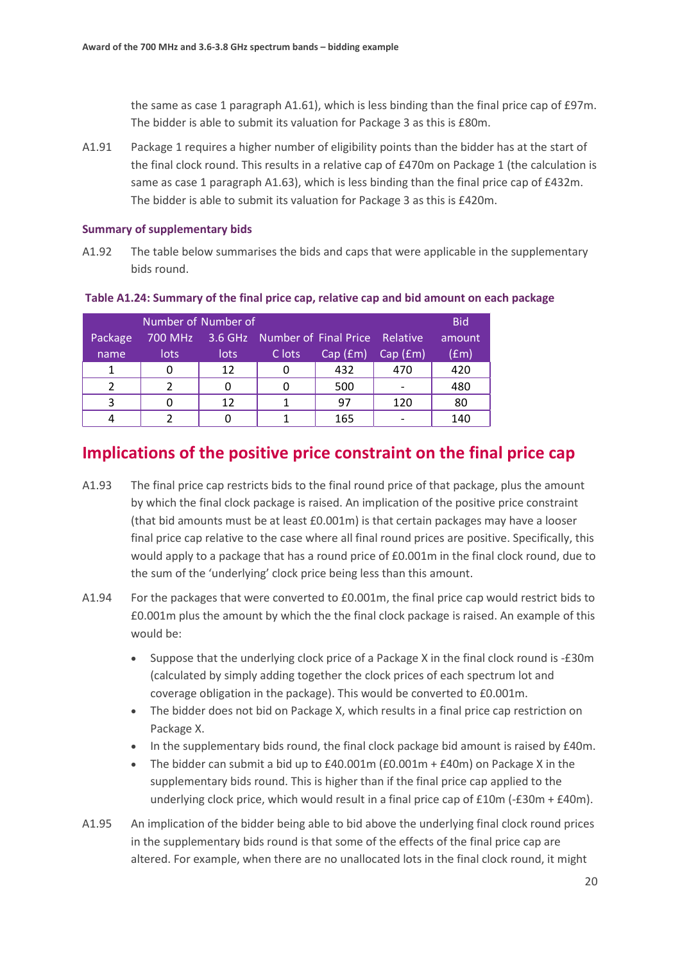the same as case 1 paragraph [A1.61\)](#page-14-1), which is less binding than the final price cap of £97m. The bidder is able to submit its valuation for Package 3 as this is £80m.

A1.91 Package 1 requires a higher number of eligibility points than the bidder has at the start of the final clock round. This results in a relative cap of £470m on Package 1 (the calculation is same as case 1 paragrap[h A1.63\)](#page-14-0), which is less binding than the final price cap of £432m. The bidder is able to submit its valuation for Package 3 as this is £420m.

#### **Summary of supplementary bids**

A1.92 The table below summarises the bids and caps that were applicable in the supplementary bids round.

#### **Table A1.24: Summary of the final price cap, relative cap and bid amount on each package**

| Number of Number of |      |      |                                                |         |         | <b>Bid</b>    |
|---------------------|------|------|------------------------------------------------|---------|---------|---------------|
| Package             |      |      | 700 MHz 3.6 GHz Number of Final Price Relative |         |         | amount        |
| name                | lots | lots | C lots                                         | Cap(fm) | Cap(fm) | $(\text{fm})$ |
|                     |      | 12   |                                                | 432     | 470     | 420           |
| ົາ                  |      |      |                                                | 500     |         | 480           |
| ર                   |      | 12   |                                                | 97      | 120     | 80            |
|                     |      |      |                                                | 165     |         | 140           |

# **Implications of the positive price constraint on the final price cap**

- A1.93 The final price cap restricts bids to the final round price of that package, plus the amount by which the final clock package is raised. An implication of the positive price constraint (that bid amounts must be at least £0.001m) is that certain packages may have a looser final price cap relative to the case where all final round prices are positive. Specifically, this would apply to a package that has a round price of £0.001m in the final clock round, due to the sum of the 'underlying' clock price being less than this amount.
- A1.94 For the packages that were converted to £0.001m, the final price cap would restrict bids to £0.001m plus the amount by which the the final clock package is raised. An example of this would be:
	- Suppose that the underlying clock price of a Package X in the final clock round is -£30m (calculated by simply adding together the clock prices of each spectrum lot and coverage obligation in the package). This would be converted to £0.001m.
	- The bidder does not bid on Package X, which results in a final price cap restriction on Package X.
	- In the supplementary bids round, the final clock package bid amount is raised by £40m.
	- The bidder can submit a bid up to £40.001m (£0.001m + £40m) on Package X in the supplementary bids round. This is higher than if the final price cap applied to the underlying clock price, which would result in a final price cap of  $£10m$  (- $£30m + £40m$ ).
- A1.95 An implication of the bidder being able to bid above the underlying final clock round prices in the supplementary bids round is that some of the effects of the final price cap are altered. For example, when there are no unallocated lots in the final clock round, it might